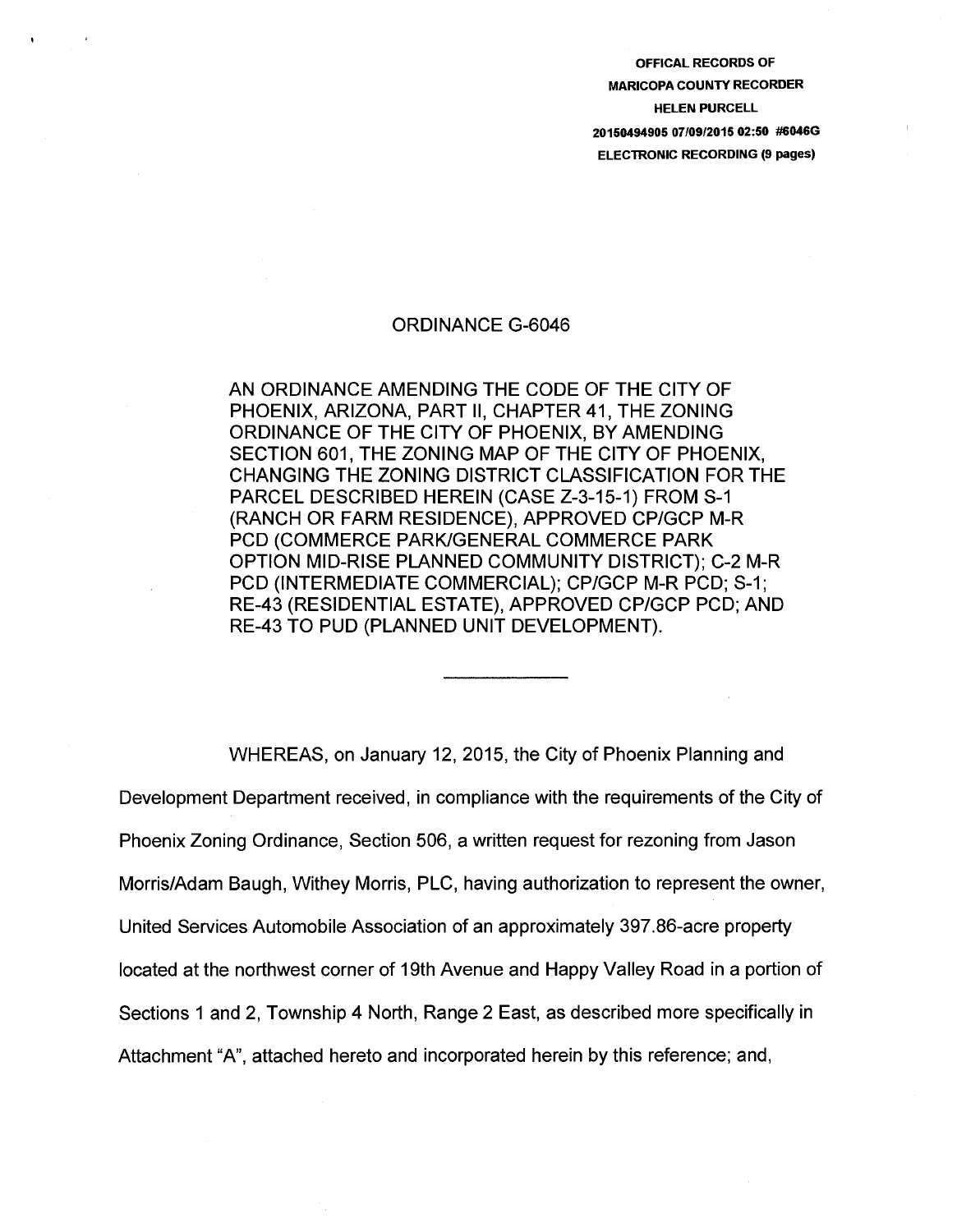OFFICAL RECORDS OF MARICOPA COUNTY RECORDER HELEN PURCELL 20150494905 07/09/2015 02:50 #6046G **ELECTRONIC RECORDING (9 pages)** 

## ORDINANCE G-6046

AN ORDINANCE AMENDING THE CODE OF THE CITY OF PHOENIX, ARIZONA, PART II, CHAPTER 41, THE ZONING ORDINANCE OF THE CITY OF PHOENIX, BY AMENDING SECTION 601, THE ZONING MAP OF THE CITY OF PHOENIX, CHANGING THE ZONING DISTRICT CLASSIFICATION FOR THE PARCEL DESCRIBED HEREIN (CASE Z-3-15-1) FROM S-1 (RANCH OR FARM RESIDENCE), APPROVED CP/GCP M-R PCD (COMMERCE PARK/GENERAL COMMERCE PARK OPTION MID-RISE PLANNED COMMUNITY DISTRICT); C-2 M-R PCD (INTERMEDIATE COMMERCIAL); CP/GCP M-R PCD; S-1; RE-43 (RESIDENTIAL ESTATE), APPROVED CP/GCP PCD; AND RE-43 TO PUD (PLANNED UNIT DEVELOPMENT).

WHEREAS, on January 12, 2015, the City of Phoenix Planning and Development Department received, in compliance with the requirements of the City of Phoenix Zoning Ordinance, Section 506, a written request for rezoning from Jason Morris/Adam Baugh, Withey Morris, PLC, having authorization to represent the owner, United Services Automobile Association of an approximately 397.86-acre property located at the northwest corner of 19th Avenue and Happy Valley Road in a portion of Sections 1 and 2, Township 4 North, Range 2 East, as described more specifically in Attachment "A", attached hereto and incorporated herein by this reference; and,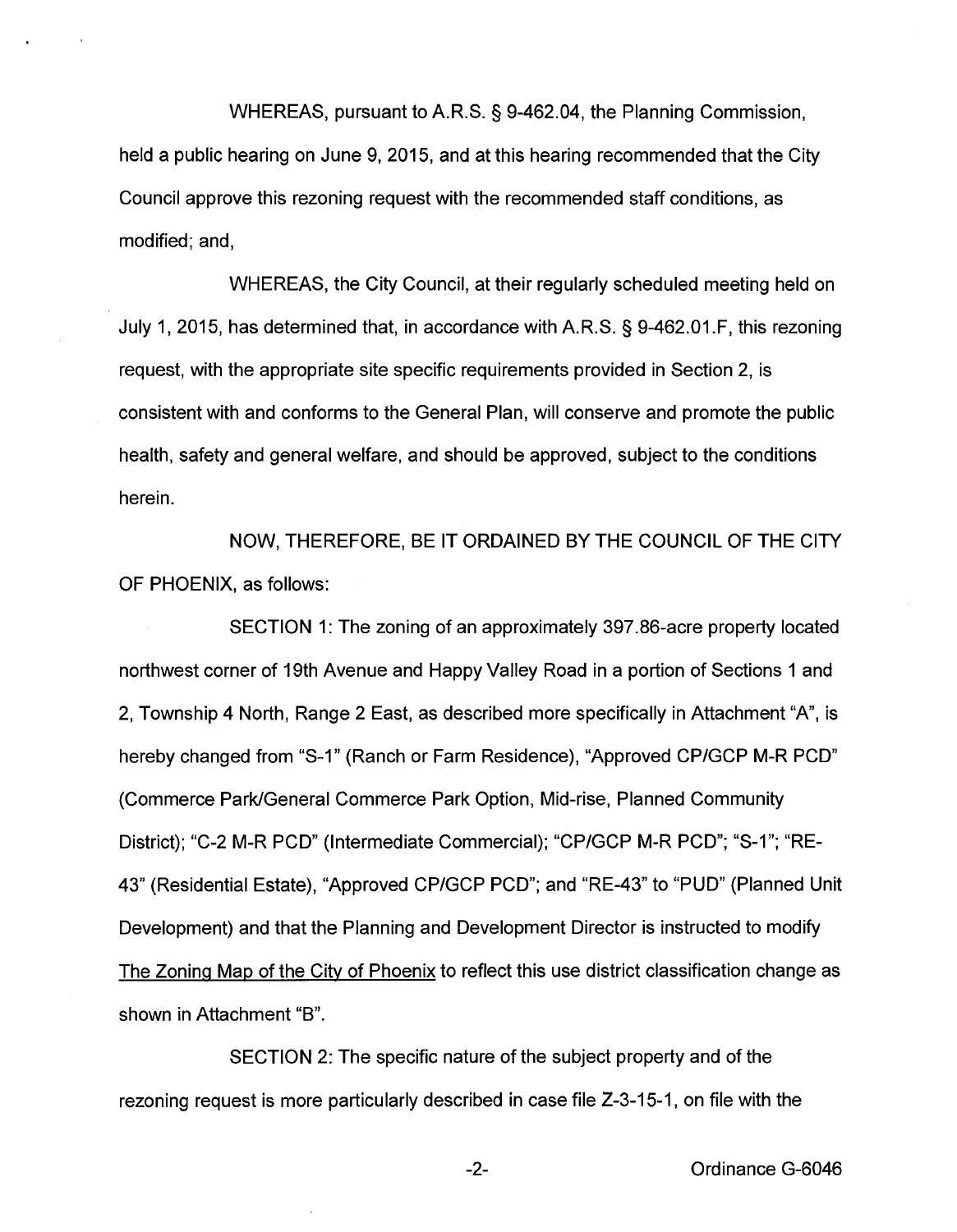WHEREAS, pursuant to A.R.S. § 9-462.04, the Planning Commission, held a public hearing on June 9, 2015, and at this hearing recommended that the City Council approve this rezoning request with the recommended staff conditions, as modified; and,

WHEREAS, the City Council, at their regularly scheduled meeting held on July 1, 2015, has determined that, in accordance with A.R.S. § 9-462.01.F, this rezoning request, with the appropriate site specific requirements provided in Section 2, is consistent with and conforms to the General Plan, will conserve and promote the public health, safety and general welfare, and should be approved, subject to the conditions herein.

NOW, THEREFORE, BE IT ORDAINED BY THE COUNCIL OF THE CITY OF PHOENIX, as follows:

SECTION 1: The zoning of an approximately 397.86-acre property located northwest corner of 19th Avenue and Happy Valley Road in a portion of Sections 1 and 2, Township 4 North, Range 2 East, as described more specifically in Attachment "A", is hereby changed from "S-1'' (Ranch or Farm Residence), "Approved CP/GCP M-R PCD" (Commerce Park/General Commerce Park Option, Mid-rise, Planned Community District); "C-2 M-R PCD" (Intermediate Commercial); "CP/GCP M-R PCD"; "S-1''; ''RE-43" (Residential Estate), "Approved CP/GCP PCD"; and "RE-43" to "PUD" (Planned Unit Development) and that the Planning and Development Director is instructed to modify The Zoning Map of the City of Phoenix to reflect this use district classification change as shown in Attachment "B".

SECTION 2: The specific nature of the subject property and of the rezoning request is more particularly described in case file Z-3-15-1, on file with the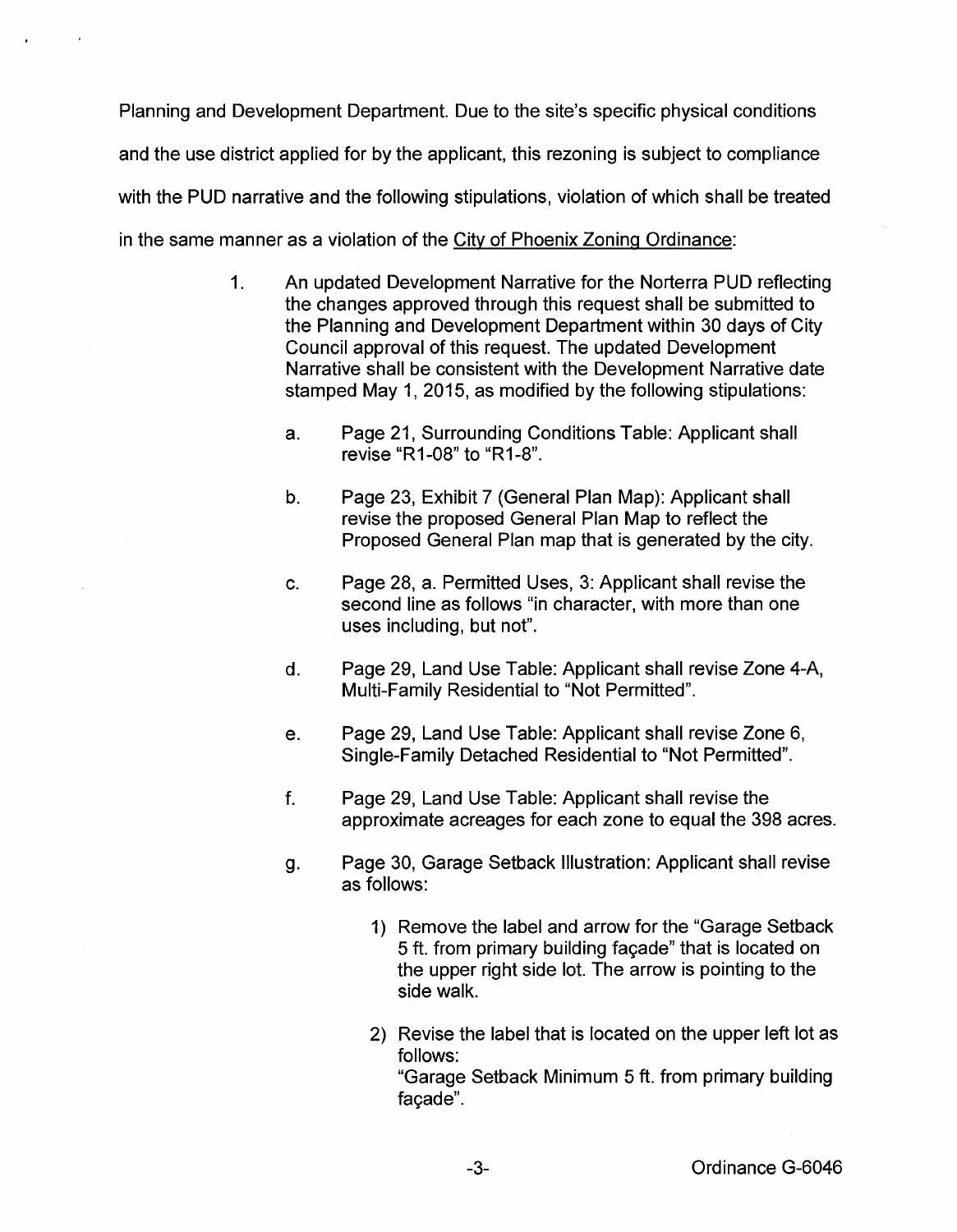Planning and Development Department. Due to the site's specific physical conditions and the use district applied for by the applicant, this rezoning is subject to compliance with the PUD narrative and the following stipulations, violation of which shall be treated in the same manner as a violation of the City of Phoenix Zoning Ordinance:

- 1. An updated Development Narrative for the Norterra PUD reflecting the changes approved through this request shall be submitted to the Planning and Development Department within 30 days of City Council approval of this request. The updated Development Narrative shall be consistent with the Development Narrative date stamped May 1, 2015, as modified by the following stipulations:
	- a. Page 21, Surrounding Conditions Table: Applicant shall revise "R1-08" to "R1-8".
	- b. Page 23, Exhibit 7 (General Plan Map): Applicant shall revise the proposed General Plan Map to reflect the Proposed General Plan map that is generated by the city.
	- c. Page 28, a. Permitted Uses, 3: Applicant shall revise the second line as follows "in character, with more than one uses including, but not".
	- d. Page 29, Land Use Table: Applicant shall revise Zone 4-A, Multi-Family Residential to "Not Permitted".
	- e. Page 29, Land Use Table: Applicant shall revise Zone 6, Single-Family Detached Residential to "Not Permitted".
	- f. Page 29, Land Use Table: Applicant shall revise the approximate acreages for each zone to equal the 398 acres.
	- g. Page 30, Garage Setback Illustration: Applicant shall revise as follows:
		- 1) Remove the label and arrow for the "Garage Setback 5 ft. from primary building fagade" that is located on the upper right side lot. The arrow is pointing to the side walk.
		- 2) Revise the label that is located on the upper left lot as follows: "Garage Setback Minimum 5 ft. from primary building facade".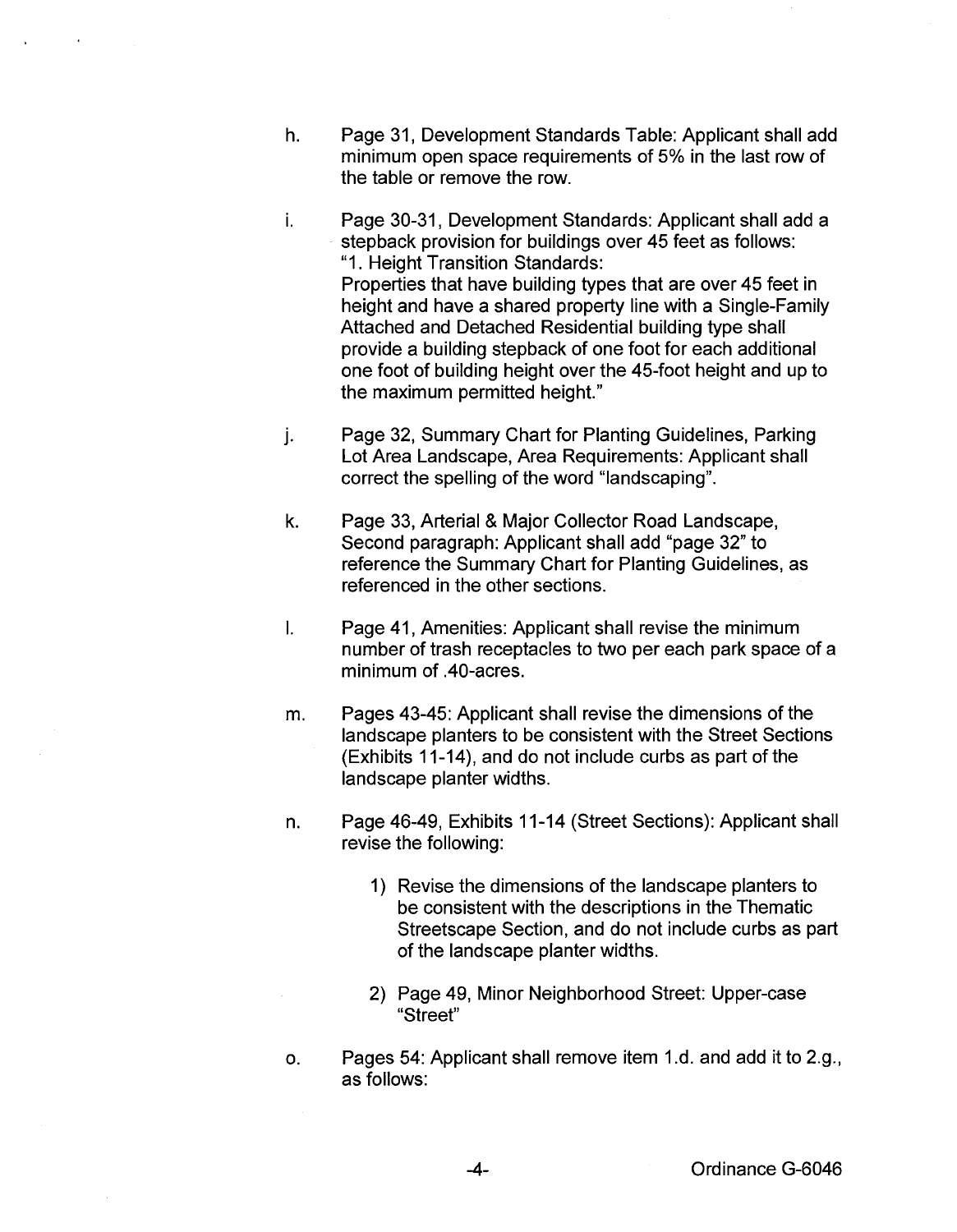- h. Page 31, Development Standards Table: Applicant shall add minimum open space requirements of 5% in the last row of the table or remove the row.
- i. Page 30-31, Development Standards: Applicant shall add a stepback provision for buildings over 45 feet as follows: "1. Height Transition Standards: Properties that have building types that are over 45 feet in height and have a shared property line with a Single-Family Attached and Detached Residential building type shall provide a building stepback of one foot for each additional one foot of building height over the 45-foot height and up to the maximum permitted height."
- j. Page 32, Summary Chart for Planting Guidelines, Parking Lot Area Landscape, Area Requirements: Applicant shall correct the spelling of the word "landscaping".
- k. Page 33, Arterial & Major Collector Road Landscape, Second paragraph: Applicant shall add "page 32" to reference the Summary Chart for Planting Guidelines, as referenced in the other sections.
- I. Page 41, Amenities: Applicant shall revise the minimum number of trash receptacles to two per each park space of a minimum of .40-acres.
- m. Pages 43-45: Applicant shall revise the dimensions of the landscape planters to be consistent with the Street Sections (Exhibits 11-14), and do not include curbs as part of the landscape planter widths.
- n. Page 46-49, Exhibits 11-14 (Street Sections): Applicant shall revise the following:
	- 1) Revise the dimensions of the landscape planters to be consistent with the descriptions in the Thematic Streetscape Section, and do not include curbs as part of the landscape planter widths.
	- 2) Page 49, Minor Neighborhood Street: Upper-case "Street"
- o. Pages 54: Applicant shall remove item 1.d. and add it to 2.g., as follows: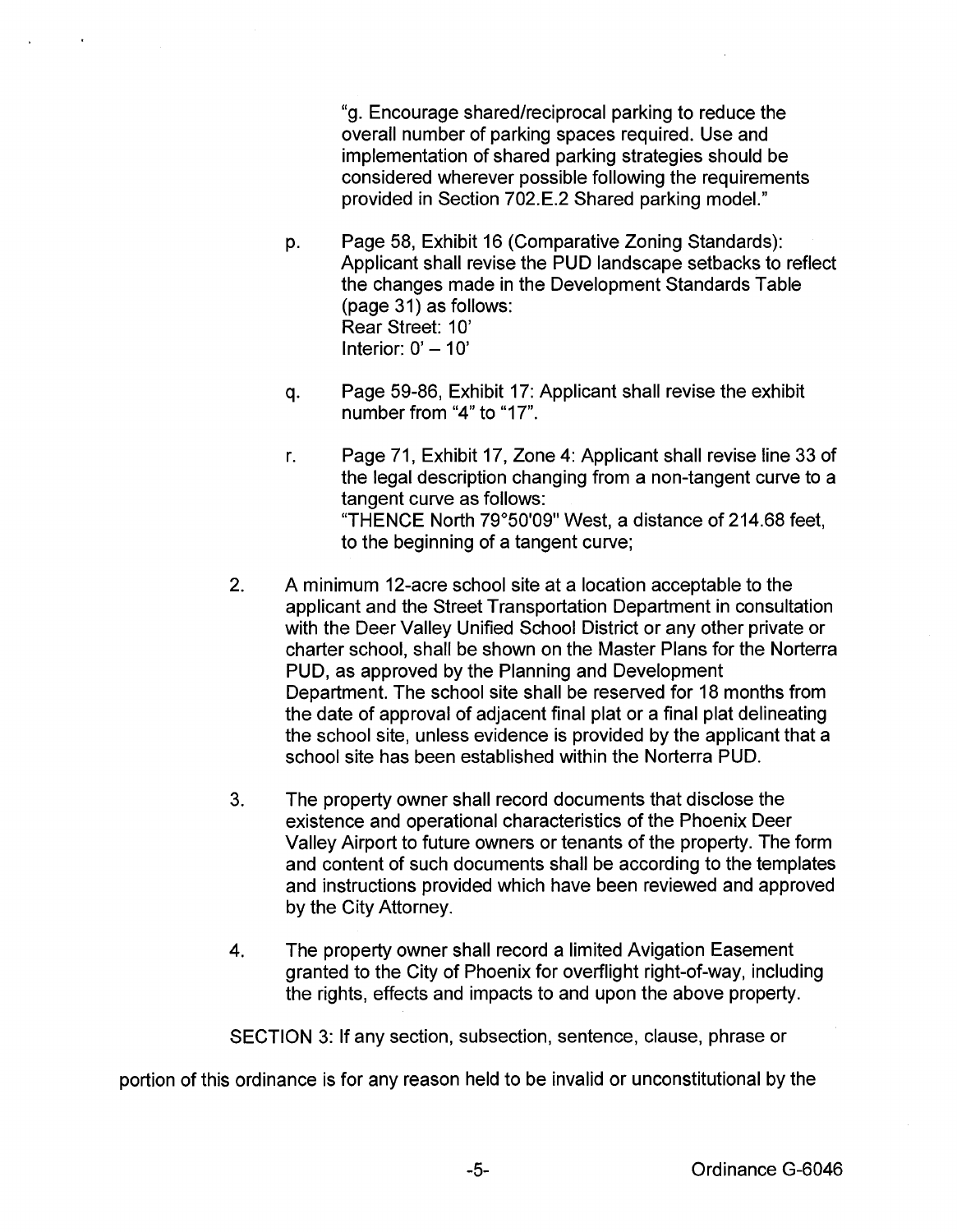"g. Encourage shared/reciprocal parking to reduce the overall number of parking spaces required. Use and implementation of shared parking strategies should be considered wherever possible following the requirements provided in Section 702.E.2 Shared parking model."

- p. Page 58, Exhibit 16 (Comparative Zoning Standards): Applicant shall revise the PUD landscape setbacks to reflect the changes made in the Development Standards Table (page 31) as follows: Rear Street: 10' Interior:  $0' - 10'$
- q. Page 59-86, Exhibit 17: Applicant shall revise the exhibit number from "4" to "17".
- r. Page 71, Exhibit 17, Zone 4: Applicant shall revise line 33 of the legal description changing from a non-tangent curve to a tangent curve as follows: "THENCE North 79°50'09" West, a distance of 214.68 feet, to the beginning of a tangent curve;
- 2. A minimum 12-acre school site at a location acceptable to the applicant and the Street Transportation Department in consultation with the Deer Valley Unified School District or any other private or charter school, shall be shown on the Master Plans for the Norterra PUD, as approved by the Planning and Development Department. The school site shall be reserved for 18 months from the date of approval of adjacent final plat or a final plat delineating the school site, unless evidence is provided by the applicant that a school site has been established within the Norterra PUD.
- 3. The property owner shall record documents that disclose the existence and operational characteristics of the Phoenix Deer Valley Airport to future owners or tenants of the property. The form and content of such documents shall be according to the templates and instructions provided which have been reviewed and approved by the City Attorney.
- 4. The property owner shall record a limited Avigation Easement granted to the City of Phoenix for overflight right-of-way, including the rights, effects and impacts to and upon the above property.

SECTION 3: If any section, subsection, sentence, clause, phrase or

portion of this ordinance is for any reason held to be invalid or unconstitutional by the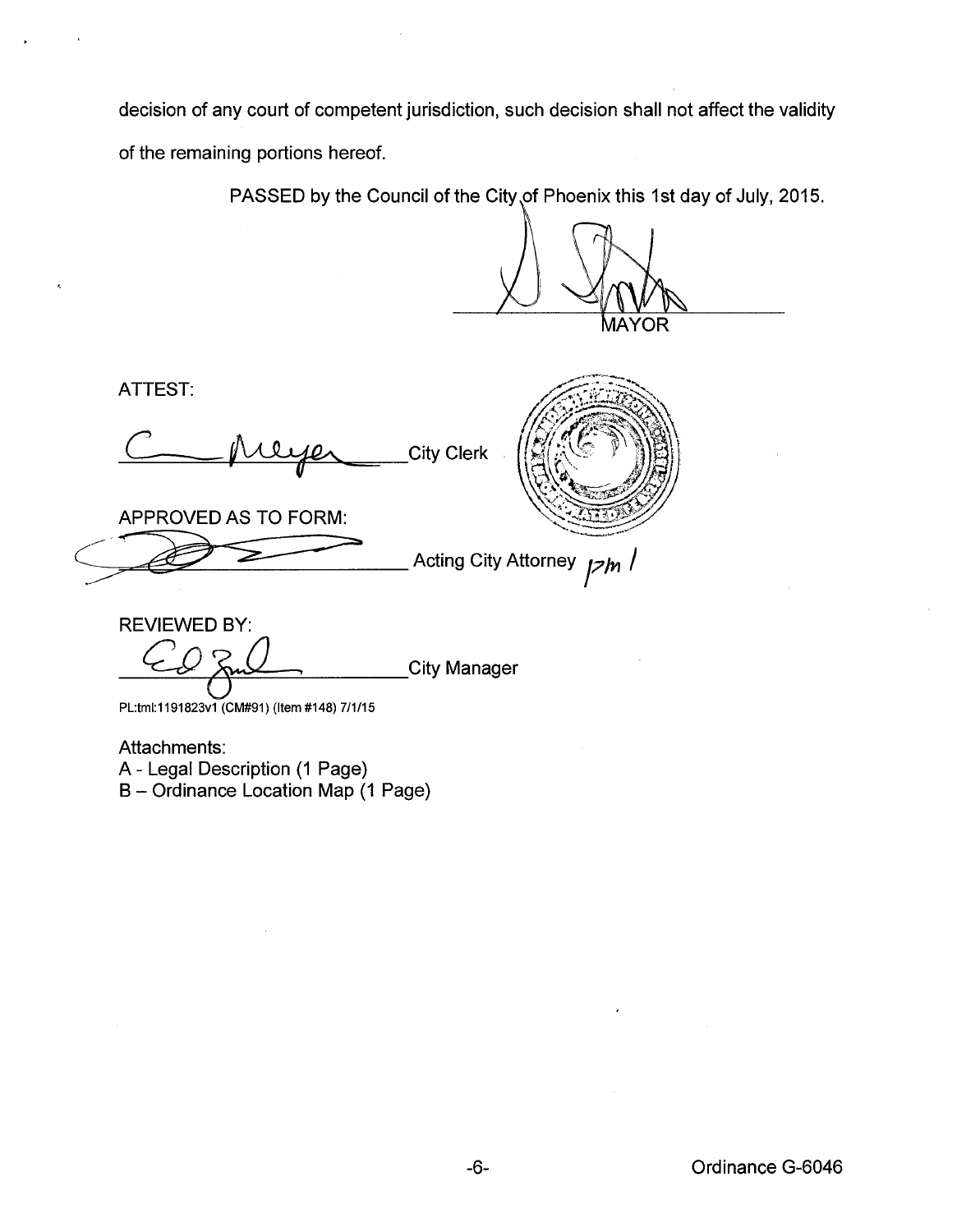decision of any court of competent jurisdiction, such decision shall not affect the validity of the remaining portions hereof.

PASSED by the Council of the City of Phoenix this 1st day of July, 2015.

MAYOR

ATTEST:

**City Clerk** 

APPROVED AS TO FORM:

Acting City Attorney  $\frac{1}{2}$ *h* /

REVIEWED BY: City Manager

PL:tml:1191823v1 (CM#91) (ltem#148) 7/1/15

Attachments:

A- Legal Description (1 Page)

B- Ordinance Location Map (1 Page)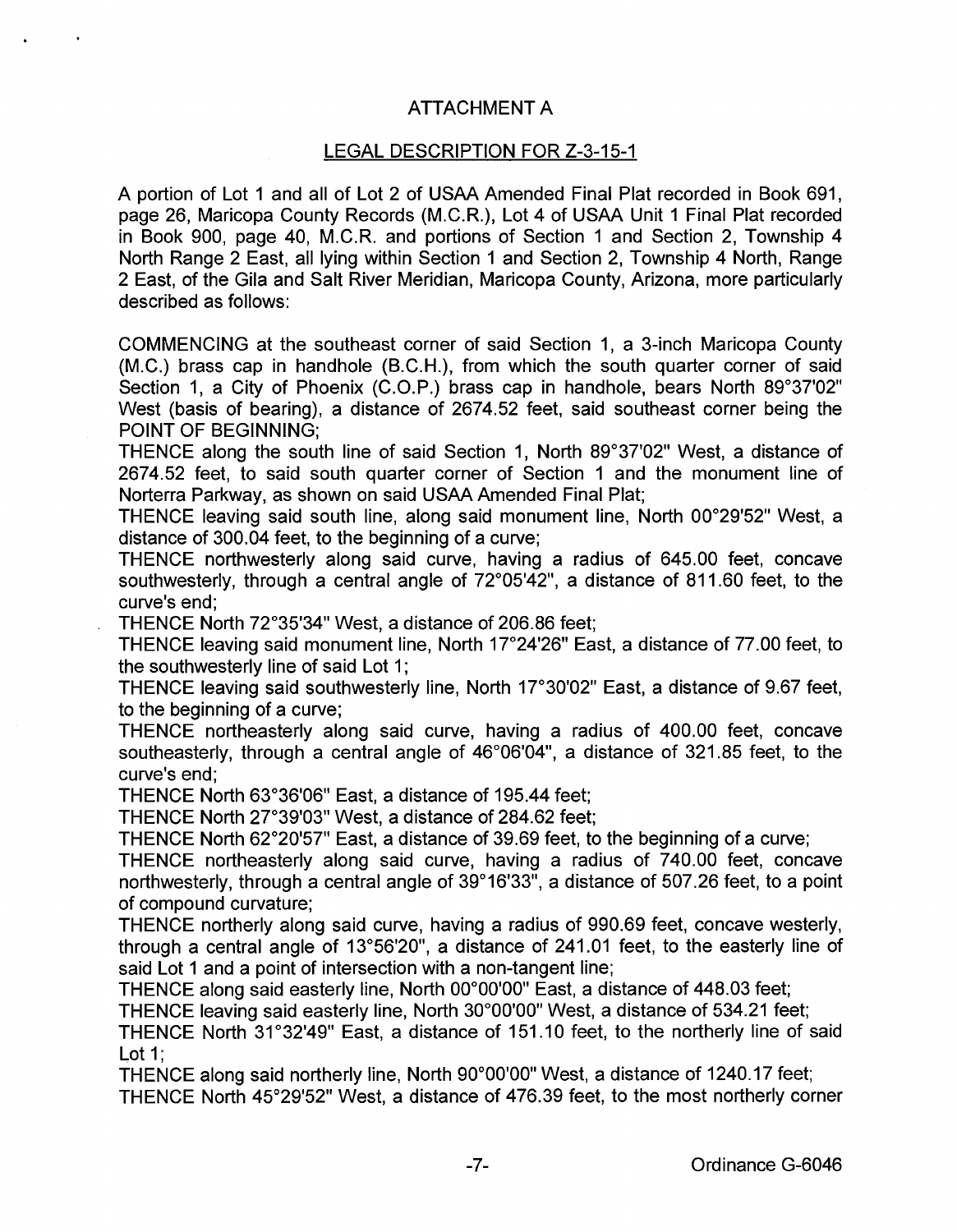## ATTACHMENT A

## LEGAL DESCRIPTION FOR Z-3-15-1

A portion of Lot 1 and all of Lot 2 of USAA Amended Final Plat recorded in Book 691, page 26, Maricopa County Records (M.C.R.), Lot 4 of USAA Unit 1 Final Plat recorded in Book 900, page 40, M.C.R. and portions of Section 1 and Section 2, Township 4 North Range 2 East, all lying within Section 1 and Section 2, Township 4 North, Range 2 East, of the Gila and Salt River Meridian, Maricopa County, Arizona, more particularly described as follows:

COMMENCING at the southeast corner of said Section 1, a 3-inch Maricopa County (M.C.) brass cap in handhole (B.C.H.), from which the south quarter corner of said Section 1, a City of Phoenix (C.O.P.) brass cap in handhole, bears North 89°37'02" West (basis of bearing), a distance of 2674.52 feet, said southeast corner being the POINT OF BEGINNING;

THENCE along the south line of said Section 1, North 89°37'02" West, a distance of 2674.52 feet, to said south quarter corner of Section 1 and the monument line of Norterra Parkway, as shown on said USAA Amended Final Plat;

THENCE leaving said south line, along said monument line, North 00°29'52" West, a distance of 300.04 feet, to the beginning of a curve;

THENCE northwesterly along said curve, having a radius of 645.00 feet, concave southwesterly, through a central angle of 72°05'42", a distance of 811.60 feet, to the curve's end;

THENCE North 72°35'34" West, a distance of 206.86 feet;

THENCE leaving said monument line, North 17°24'26" East, a distance of 77.00 feet, to the southwesterly line of said Lot 1;

THENCE leaving said southwesterly line, North 17°30'02" East, a distance of 9.67 feet, to the beginning of a curve;

THENCE northeasterly along said curve, having a radius of 400.00 feet, concave southeasterly, through a central angle of 46°06'04", a distance of 321.85 feet, to the curve's end;

THENCE North 63°36'06" East, a distance of 195.44 feet;

THENCE North 27°39'03" West, a distance of 284.62 feet;

THENCE North 62°20'57" East, a distance of 39.69 feet, to the beginning of a curve;

THENCE northeasterly along said curve, having a radius of 740.00 feet, concave northwesterly, through a central angle of 39°16'33", a distance of 507.26 feet, to a point of compound curvature;

THENCE northerly along said curve, having a radius of 990.69 feet, concave westerly, through a central angle of 13°56'20", a distance of 241.01 feet, to the easterly line of said Lot 1 and a point of intersection with a non-tangent line;

THENCE along said easterly line, North 00°00'00" East, a distance of 448.03 feet;

THENCE leaving said easterly line, North 30°00'00" West, a distance of 534.21 feet;

THENCE North 31°32'49" East, a distance of 151.10 feet, to the northerly line of said Lot 1;

THENCE along said northerly line, North 90°00'00" West, a distance of 1240.17 feet; THENCE North 45°29'52" West, a distance of 476.39 feet, to the most northerly corner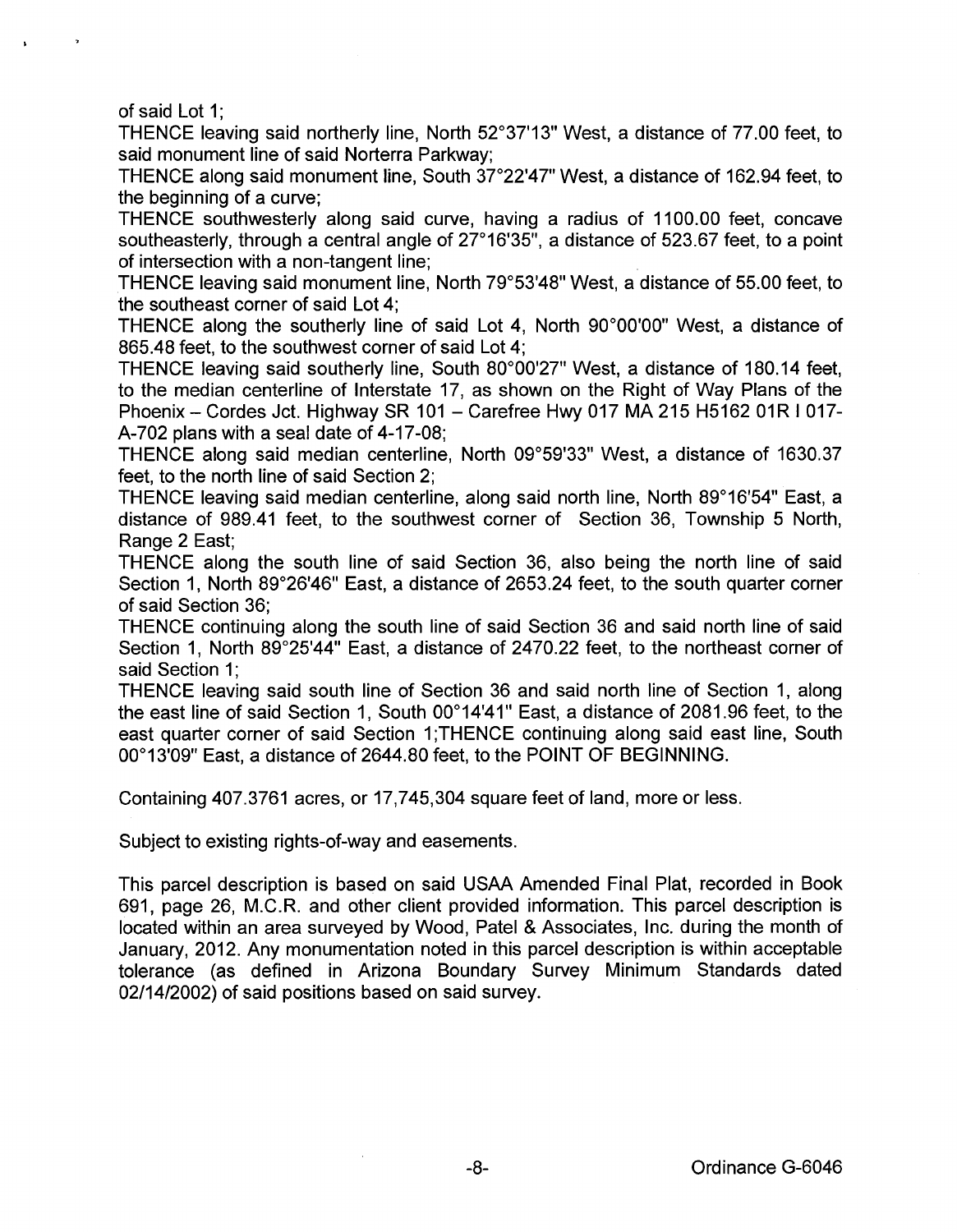of said Lot 1:

THENCE leaving said northerly line, North 52°37'13" West, a distance of 77.00 feet, to said monument line of said Norterra Parkway;

THENCE along said monument line, South 37°22'47" West, a distance of 162.94 feet, to the beginning of a curve;

THENCE southwesterly along said curve, having a radius of 1100.00 feet, concave southeasterly, through a central angle of  $27^{\circ}16'35''$ , a distance of 523.67 feet, to a point of intersection with a non-tangent line;

THENCE leaving said monument line, North 79°53'48" West, a distance of 55.00 feet, to the southeast corner of said Lot 4;

THENCE along the southerly line of said Lot 4, North 90°00'00" West, a distance of 865.48 feet, to the southwest corner of said Lot 4;

THENCE leaving said southerly line, South 80°00'27" West, a distance of 180.14 feet, to the median centerline of Interstate 17, as shown on the Right of Way Plans of the Phoenix - Cordes Jct. Highway SR 101 - Carefree Hwy 017 MA 215 H5162 01R I 017-A-702 plans with a seal date of 4-17 -08;

THENCE along said median centerline, North 09°59'33" West, a distance of 1630.37 feet, to the north line of said Section 2;

THENCE leaving said median centerline, along said north line, North 89°16'54" East, a distance of 989.41 feet, to the southwest corner of Section 36, Township 5 North, Range 2 East;

THENCE along the south line of said Section 36, also being the north line of said Section 1, North 89°26'46" East, a distance of 2653.24 feet, to the south quarter corner of said Section 36;

THENCE continuing along the south line of said Section 36 and said north line of said Section 1, North 89°25'44" East, a distance of 2470.22 feet, to the northeast corner of said Section 1:

THENCE leaving said south line of Section 36 and said north line of Section 1, along the east line of said Section 1, South 00°14'41" East, a distance of 2081.96 feet, to the east quarter corner of said Section 1;THENCE continuing along said east line, South 00°13'09" East, a distance of 2644.80 feet, to the POINT OF BEGINNING.

Containing 407.3761 acres, or 17,745,304 square feet of land, more or less.

Subject to existing rights-of-way and easements.

This parcel description is based on said USAA Amended Final Plat, recorded in Book 691, page 26, M.C.R. and other client provided information. This parcel description is located within an area surveyed by Wood, Patel & Associates, Inc. during the month of January, 2012. Any monumentation noted in this parcel description is within acceptable tolerance (as defined in Arizona Boundary Survey Minimum Standards dated 02/14/2002) of said positions based on said survey.